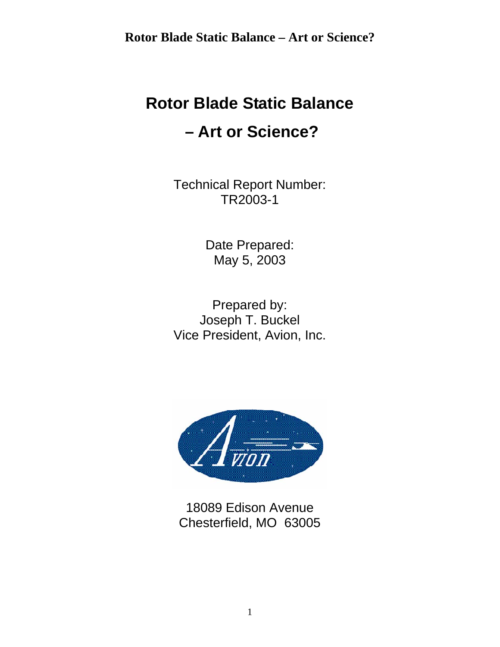# **Rotor Blade Static Balance – Art or Science?**

Technical Report Number: TR2003-1

> Date Prepared: May 5, 2003

Prepared by: Joseph T. Buckel Vice President, Avion, Inc.



18089 Edison Avenue Chesterfield, MO 63005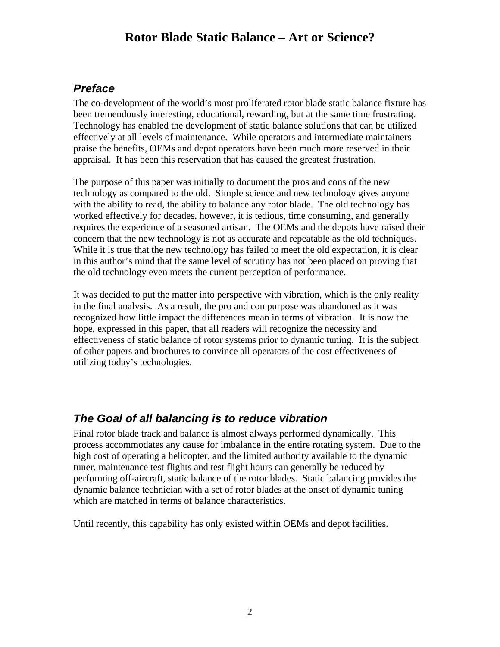### *Preface*

The co-development of the world's most proliferated rotor blade static balance fixture has been tremendously interesting, educational, rewarding, but at the same time frustrating. Technology has enabled the development of static balance solutions that can be utilized effectively at all levels of maintenance. While operators and intermediate maintainers praise the benefits, OEMs and depot operators have been much more reserved in their appraisal. It has been this reservation that has caused the greatest frustration.

The purpose of this paper was initially to document the pros and cons of the new technology as compared to the old. Simple science and new technology gives anyone with the ability to read, the ability to balance any rotor blade. The old technology has worked effectively for decades, however, it is tedious, time consuming, and generally requires the experience of a seasoned artisan. The OEMs and the depots have raised their concern that the new technology is not as accurate and repeatable as the old techniques. While it is true that the new technology has failed to meet the old expectation, it is clear in this author's mind that the same level of scrutiny has not been placed on proving that the old technology even meets the current perception of performance.

It was decided to put the matter into perspective with vibration, which is the only reality in the final analysis. As a result, the pro and con purpose was abandoned as it was recognized how little impact the differences mean in terms of vibration. It is now the hope, expressed in this paper, that all readers will recognize the necessity and effectiveness of static balance of rotor systems prior to dynamic tuning. It is the subject of other papers and brochures to convince all operators of the cost effectiveness of utilizing today's technologies.

### *The Goal of all balancing is to reduce vibration*

Final rotor blade track and balance is almost always performed dynamically. This process accommodates any cause for imbalance in the entire rotating system. Due to the high cost of operating a helicopter, and the limited authority available to the dynamic tuner, maintenance test flights and test flight hours can generally be reduced by performing off-aircraft, static balance of the rotor blades. Static balancing provides the dynamic balance technician with a set of rotor blades at the onset of dynamic tuning which are matched in terms of balance characteristics.

Until recently, this capability has only existed within OEMs and depot facilities.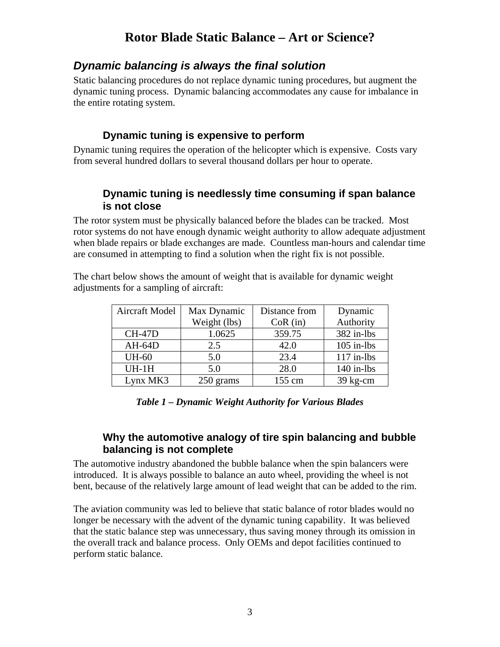### *Dynamic balancing is always the final solution*

Static balancing procedures do not replace dynamic tuning procedures, but augment the dynamic tuning process. Dynamic balancing accommodates any cause for imbalance in the entire rotating system.

### **Dynamic tuning is expensive to perform**

Dynamic tuning requires the operation of the helicopter which is expensive. Costs vary from several hundred dollars to several thousand dollars per hour to operate.

### **Dynamic tuning is needlessly time consuming if span balance is not close**

The rotor system must be physically balanced before the blades can be tracked. Most rotor systems do not have enough dynamic weight authority to allow adequate adjustment when blade repairs or blade exchanges are made. Countless man-hours and calendar time are consumed in attempting to find a solution when the right fix is not possible.

The chart below shows the amount of weight that is available for dynamic weight adjustments for a sampling of aircraft:

| <b>Aircraft Model</b> | Max Dynamic  | Distance from | Dynamic      |
|-----------------------|--------------|---------------|--------------|
|                       | Weight (lbs) | $CoR$ (in)    | Authority    |
| $CH-47D$              | 1.0625       | 359.75        | 382 in-lbs   |
| $AH-64D$              | 2.5          | 42.0          | $105$ in-lbs |
| <b>UH-60</b>          | 5.0          | 23.4          | $117$ in-lbs |
| $UH-1H$               | 5.0          | 28.0          | $140$ in-lbs |
| Lynx MK3              | 250 grams    | 155 cm        | $39$ kg-cm   |

*Table 1 – Dynamic Weight Authority for Various Blades* 

### **Why the automotive analogy of tire spin balancing and bubble balancing is not complete**

The automotive industry abandoned the bubble balance when the spin balancers were introduced. It is always possible to balance an auto wheel, providing the wheel is not bent, because of the relatively large amount of lead weight that can be added to the rim.

The aviation community was led to believe that static balance of rotor blades would no longer be necessary with the advent of the dynamic tuning capability. It was believed that the static balance step was unnecessary, thus saving money through its omission in the overall track and balance process. Only OEMs and depot facilities continued to perform static balance.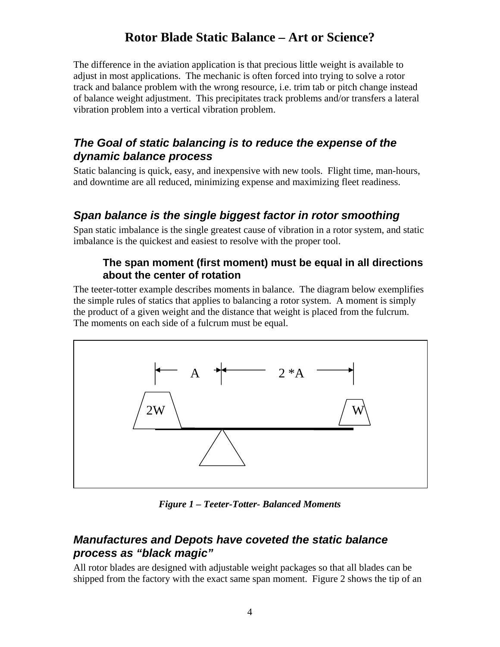The difference in the aviation application is that precious little weight is available to adjust in most applications. The mechanic is often forced into trying to solve a rotor track and balance problem with the wrong resource, i.e. trim tab or pitch change instead of balance weight adjustment. This precipitates track problems and/or transfers a lateral vibration problem into a vertical vibration problem.

### *The Goal of static balancing is to reduce the expense of the dynamic balance process*

Static balancing is quick, easy, and inexpensive with new tools. Flight time, man-hours, and downtime are all reduced, minimizing expense and maximizing fleet readiness.

## *Span balance is the single biggest factor in rotor smoothing*

Span static imbalance is the single greatest cause of vibration in a rotor system, and static imbalance is the quickest and easiest to resolve with the proper tool.

#### **The span moment (first moment) must be equal in all directions about the center of rotation**

The teeter-totter example describes moments in balance. The diagram below exemplifies the simple rules of statics that applies to balancing a rotor system. A moment is simply the product of a given weight and the distance that weight is placed from the fulcrum. The moments on each side of a fulcrum must be equal.



*Figure 1 – Teeter-Totter- Balanced Moments* 

### *Manufactures and Depots have coveted the static balance process as "black magic"*

All rotor blades are designed with adjustable weight packages so that all blades can be shipped from the factory with the exact same span moment. Figure 2 shows the tip of an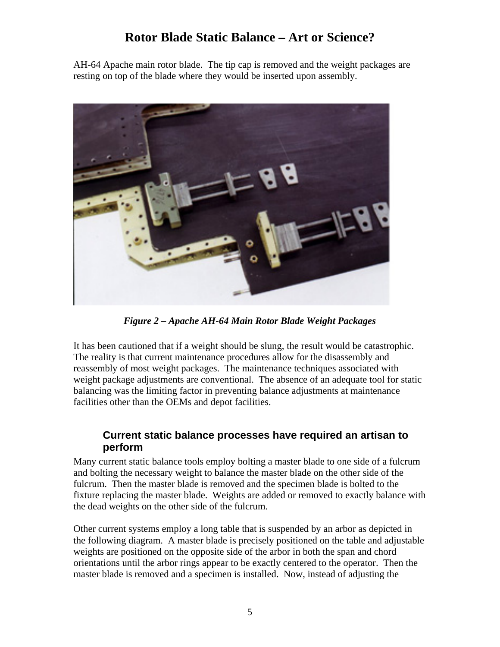AH-64 Apache main rotor blade. The tip cap is removed and the weight packages are resting on top of the blade where they would be inserted upon assembly.



*Figure 2 – Apache AH-64 Main Rotor Blade Weight Packages* 

It has been cautioned that if a weight should be slung, the result would be catastrophic. The reality is that current maintenance procedures allow for the disassembly and reassembly of most weight packages. The maintenance techniques associated with weight package adjustments are conventional. The absence of an adequate tool for static balancing was the limiting factor in preventing balance adjustments at maintenance facilities other than the OEMs and depot facilities.

#### **Current static balance processes have required an artisan to perform**

Many current static balance tools employ bolting a master blade to one side of a fulcrum and bolting the necessary weight to balance the master blade on the other side of the fulcrum. Then the master blade is removed and the specimen blade is bolted to the fixture replacing the master blade. Weights are added or removed to exactly balance with the dead weights on the other side of the fulcrum.

Other current systems employ a long table that is suspended by an arbor as depicted in the following diagram. A master blade is precisely positioned on the table and adjustable weights are positioned on the opposite side of the arbor in both the span and chord orientations until the arbor rings appear to be exactly centered to the operator. Then the master blade is removed and a specimen is installed. Now, instead of adjusting the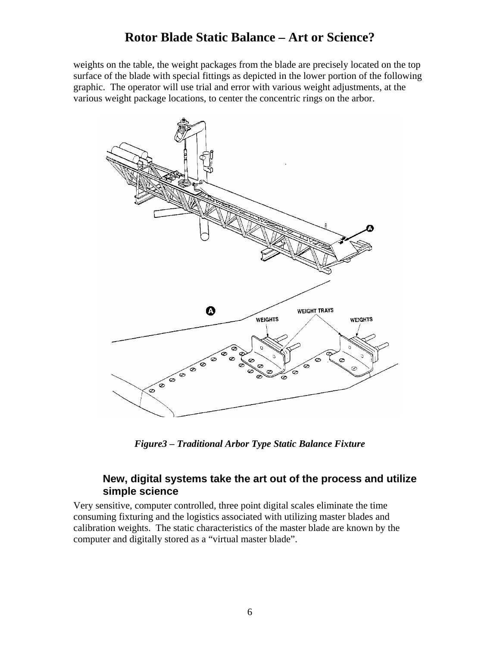weights on the table, the weight packages from the blade are precisely located on the top surface of the blade with special fittings as depicted in the lower portion of the following graphic. The operator will use trial and error with various weight adjustments, at the various weight package locations, to center the concentric rings on the arbor.



*Figure3 – Traditional Arbor Type Static Balance Fixture* 

#### **New, digital systems take the art out of the process and utilize simple science**

Very sensitive, computer controlled, three point digital scales eliminate the time consuming fixturing and the logistics associated with utilizing master blades and calibration weights. The static characteristics of the master blade are known by the computer and digitally stored as a "virtual master blade".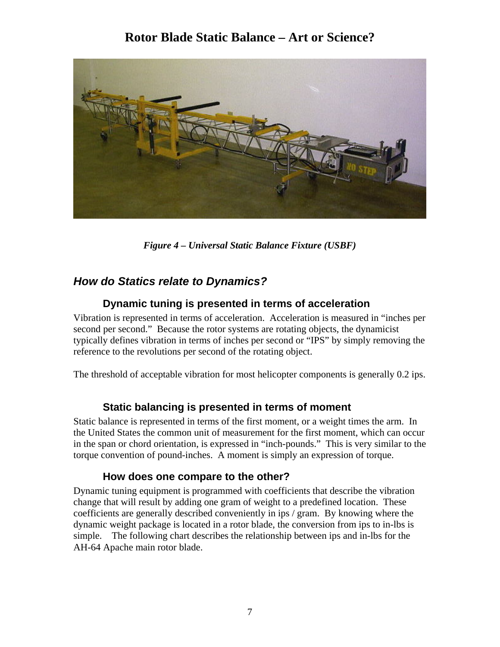

*Figure 4 – Universal Static Balance Fixture (USBF)* 

### *How do Statics relate to Dynamics?*

### **Dynamic tuning is presented in terms of acceleration**

Vibration is represented in terms of acceleration. Acceleration is measured in "inches per second per second." Because the rotor systems are rotating objects, the dynamicist typically defines vibration in terms of inches per second or "IPS" by simply removing the reference to the revolutions per second of the rotating object.

The threshold of acceptable vibration for most helicopter components is generally 0.2 ips.

### **Static balancing is presented in terms of moment**

Static balance is represented in terms of the first moment, or a weight times the arm. In the United States the common unit of measurement for the first moment, which can occur in the span or chord orientation, is expressed in "inch-pounds." This is very similar to the torque convention of pound-inches. A moment is simply an expression of torque.

#### **How does one compare to the other?**

Dynamic tuning equipment is programmed with coefficients that describe the vibration change that will result by adding one gram of weight to a predefined location. These coefficients are generally described conveniently in ips / gram. By knowing where the dynamic weight package is located in a rotor blade, the conversion from ips to in-lbs is simple. The following chart describes the relationship between ips and in-lbs for the AH-64 Apache main rotor blade.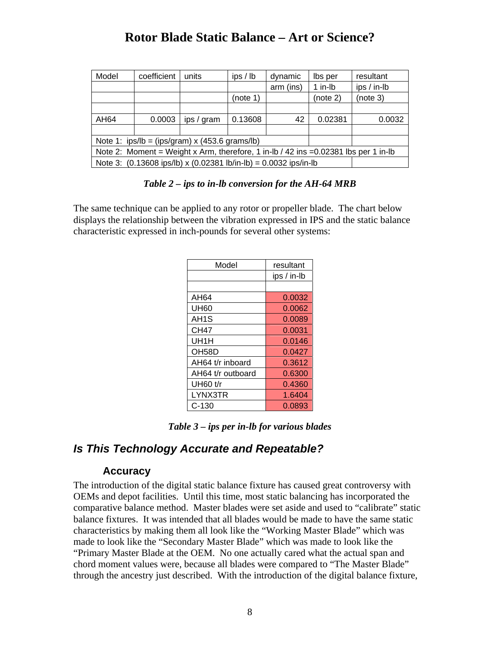| Model                                                                                  | coefficient | units      | ips/lb   | dynamic   | lbs per  | resultant   |
|----------------------------------------------------------------------------------------|-------------|------------|----------|-----------|----------|-------------|
|                                                                                        |             |            |          | arm (ins) | 1 in-lb  | ips / in-lb |
|                                                                                        |             |            | (note 1) |           | (note 2) | (note 3)    |
|                                                                                        |             |            |          |           |          |             |
| AH64                                                                                   | 0.0003      | ips / gram | 0.13608  | 42        | 0.02381  | 0.0032      |
|                                                                                        |             |            |          |           |          |             |
| Note 1: $ips/b = (ips/gram) \times (453.6 \text{ grams/lb})$                           |             |            |          |           |          |             |
| Note 2: Moment = Weight x Arm, therefore, 1 in-lb / 42 ins = $0.02381$ lbs per 1 in-lb |             |            |          |           |          |             |
| Note 3: (0.13608 ips/lb) x (0.02381 lb/in-lb) = 0.0032 ips/in-lb                       |             |            |          |           |          |             |

#### *Table 2 – ips to in-lb conversion for the AH-64 MRB*

The same technique can be applied to any rotor or propeller blade. The chart below displays the relationship between the vibration expressed in IPS and the static balance characteristic expressed in inch-pounds for several other systems:

| Model              | resultant   |
|--------------------|-------------|
|                    | ips / in-lb |
|                    |             |
| AH64               | 0.0032      |
| <b>UH60</b>        | 0.0062      |
| AH <sub>1</sub> S  | 0.0089      |
| <b>CH47</b>        | 0.0031      |
| UH1H               | 0.0146      |
| OH <sub>58</sub> D | 0.0427      |
| AH64 t/r inboard   | 0.3612      |
| AH64 t/r outboard  | 0.6300      |
| UH60 t/r           | 0.4360      |
| LYNX3TR            | 1.6404      |
| C-130              | 0.0893      |

*Table 3 – ips per in-lb for various blades* 

### *Is This Technology Accurate and Repeatable?*

#### **Accuracy**

The introduction of the digital static balance fixture has caused great controversy with OEMs and depot facilities. Until this time, most static balancing has incorporated the comparative balance method. Master blades were set aside and used to "calibrate" static balance fixtures. It was intended that all blades would be made to have the same static characteristics by making them all look like the "Working Master Blade" which was made to look like the "Secondary Master Blade" which was made to look like the "Primary Master Blade at the OEM. No one actually cared what the actual span and chord moment values were, because all blades were compared to "The Master Blade" through the ancestry just described. With the introduction of the digital balance fixture,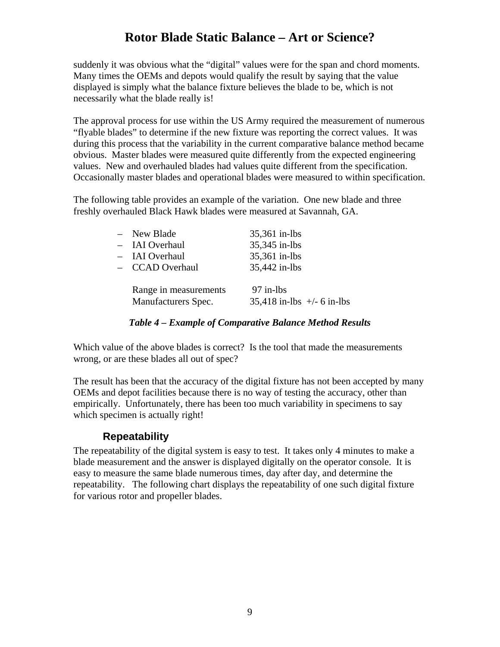suddenly it was obvious what the "digital" values were for the span and chord moments. Many times the OEMs and depots would qualify the result by saying that the value displayed is simply what the balance fixture believes the blade to be, which is not necessarily what the blade really is!

The approval process for use within the US Army required the measurement of numerous "flyable blades" to determine if the new fixture was reporting the correct values. It was during this process that the variability in the current comparative balance method became obvious. Master blades were measured quite differently from the expected engineering values. New and overhauled blades had values quite different from the specification. Occasionally master blades and operational blades were measured to within specification.

The following table provides an example of the variation. One new blade and three freshly overhauled Black Hawk blades were measured at Savannah, GA.

| - New Blade                                  | 35,361 in-lbs                                 |
|----------------------------------------------|-----------------------------------------------|
| - IAI Overhaul                               | 35,345 in-lbs                                 |
| - IAI Overhaul                               | 35,361 in-lbs                                 |
| - CCAD Overhaul                              | 35,442 in-lbs                                 |
| Range in measurements<br>Manufacturers Spec. | $97$ in-lbs<br>$35,418$ in-lbs $+/-$ 6 in-lbs |

#### *Table 4 – Example of Comparative Balance Method Results*

Which value of the above blades is correct? Is the tool that made the measurements wrong, or are these blades all out of spec?

The result has been that the accuracy of the digital fixture has not been accepted by many OEMs and depot facilities because there is no way of testing the accuracy, other than empirically. Unfortunately, there has been too much variability in specimens to say which specimen is actually right!

### **Repeatability**

The repeatability of the digital system is easy to test. It takes only 4 minutes to make a blade measurement and the answer is displayed digitally on the operator console. It is easy to measure the same blade numerous times, day after day, and determine the repeatability. The following chart displays the repeatability of one such digital fixture for various rotor and propeller blades.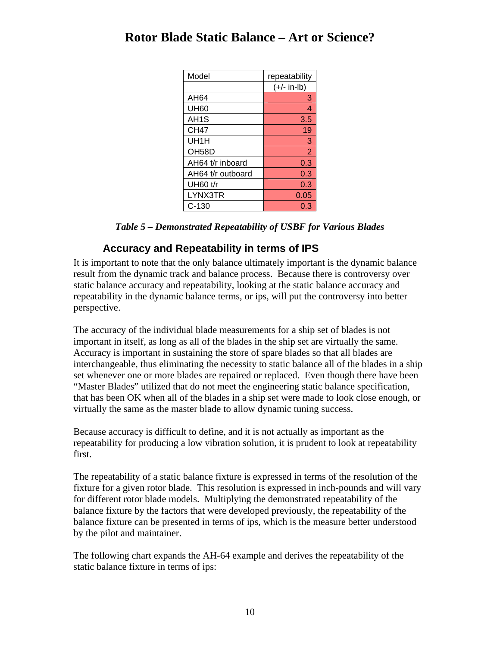| Model              | repeatability  |
|--------------------|----------------|
|                    | $(+/- in-lb)$  |
| AH64               | 3              |
| <b>UH60</b>        | 4              |
| AH <sub>1</sub> S  | 3.5            |
| <b>CH47</b>        | 19             |
| UH1H               | 3              |
| OH <sub>58</sub> D | $\overline{2}$ |
| AH64 t/r inboard   | 0.3            |
| AH64 t/r outboard  | 0.3            |
| <b>UH60 t/r</b>    | 0.3            |
| LYNX3TR            | 0.05           |
| $C-130$            | 0.3            |

### **Accuracy and Repeatability in terms of IPS**

It is important to note that the only balance ultimately important is the dynamic balance result from the dynamic track and balance process. Because there is controversy over static balance accuracy and repeatability, looking at the static balance accuracy and repeatability in the dynamic balance terms, or ips, will put the controversy into better perspective.

The accuracy of the individual blade measurements for a ship set of blades is not important in itself, as long as all of the blades in the ship set are virtually the same. Accuracy is important in sustaining the store of spare blades so that all blades are interchangeable, thus eliminating the necessity to static balance all of the blades in a ship set whenever one or more blades are repaired or replaced. Even though there have been "Master Blades" utilized that do not meet the engineering static balance specification, that has been OK when all of the blades in a ship set were made to look close enough, or virtually the same as the master blade to allow dynamic tuning success.

Because accuracy is difficult to define, and it is not actually as important as the repeatability for producing a low vibration solution, it is prudent to look at repeatability first.

The repeatability of a static balance fixture is expressed in terms of the resolution of the fixture for a given rotor blade. This resolution is expressed in inch-pounds and will vary for different rotor blade models. Multiplying the demonstrated repeatability of the balance fixture by the factors that were developed previously, the repeatability of the balance fixture can be presented in terms of ips, which is the measure better understood by the pilot and maintainer.

The following chart expands the AH-64 example and derives the repeatability of the static balance fixture in terms of ips: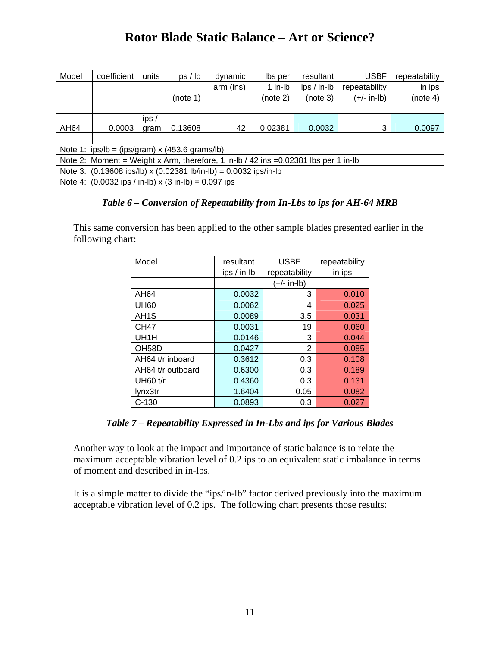| Model                                                                                           | coefficient | units        | ips / lb | dynamic   | lbs per  | resultant   | <b>USBF</b>   | repeatability |
|-------------------------------------------------------------------------------------------------|-------------|--------------|----------|-----------|----------|-------------|---------------|---------------|
|                                                                                                 |             |              |          | arm (ins) | 1 in-lb  | ips / in-lb | repeatability | in ips        |
|                                                                                                 |             |              | (note 1) |           | (note 2) | (note 3)    | $(+/- in-lb)$ | (note 4)      |
|                                                                                                 |             |              |          |           |          |             |               |               |
| AH64                                                                                            | 0.0003      | ips/<br>gram | 0.13608  | 42        | 0.02381  | 0.0032      | 3             | 0.0097        |
|                                                                                                 |             |              |          |           |          |             |               |               |
| Note 1: $ips/b = (ips/gram) \times (453.6 \text{ grams/lb})$                                    |             |              |          |           |          |             |               |               |
| Note 2: Moment = Weight x Arm, therefore, 1 in-lb / 42 ins = $0.02381$ lbs per 1 in-lb          |             |              |          |           |          |             |               |               |
| Note 3: $(0.13608 \text{ ips/lb}) \times (0.02381 \text{ lb/in-lb}) = 0.0032 \text{ ips/in-lb}$ |             |              |          |           |          |             |               |               |
| Note 4: $(0.0032$ ips / in-lb) x $(3 \text{ in-lb}) = 0.097$ ips                                |             |              |          |           |          |             |               |               |

#### *Table 6 – Conversion of Repeatability from In-Lbs to ips for AH-64 MRB*

This same conversion has been applied to the other sample blades presented earlier in the following chart:

| Model              | resultant   | <b>USBF</b>   | repeatability |  |
|--------------------|-------------|---------------|---------------|--|
|                    | ips / in-lb | repeatability | in ips        |  |
|                    |             | (+/- in-lb)   |               |  |
| AH64               | 0.0032      | 3             | 0.010         |  |
| <b>UH60</b>        | 0.0062      | 4             | 0.025         |  |
| AH <sub>1</sub> S  | 0.0089      | 3.5           | 0.031         |  |
| <b>CH47</b>        | 0.0031      | 19            | 0.060         |  |
| UH1H               | 0.0146      | 3             | 0.044         |  |
| OH <sub>58</sub> D | 0.0427      | 2             | 0.085         |  |
| AH64 t/r inboard   | 0.3612      | 0.3           | 0.108         |  |
| AH64 t/r outboard  | 0.6300      | 0.3           | 0.189         |  |
| <b>UH60 t/r</b>    | 0.4360      | 0.3           | 0.131         |  |
| lynx3tr            | 1.6404      | 0.05          | 0.082         |  |
| $C-130$            | 0.0893      | 0.3           | 0.027         |  |

*Table 7 – Repeatability Expressed in In-Lbs and ips for Various Blades* 

Another way to look at the impact and importance of static balance is to relate the maximum acceptable vibration level of 0.2 ips to an equivalent static imbalance in terms of moment and described in in-lbs.

It is a simple matter to divide the "ips/in-lb" factor derived previously into the maximum acceptable vibration level of 0.2 ips. The following chart presents those results: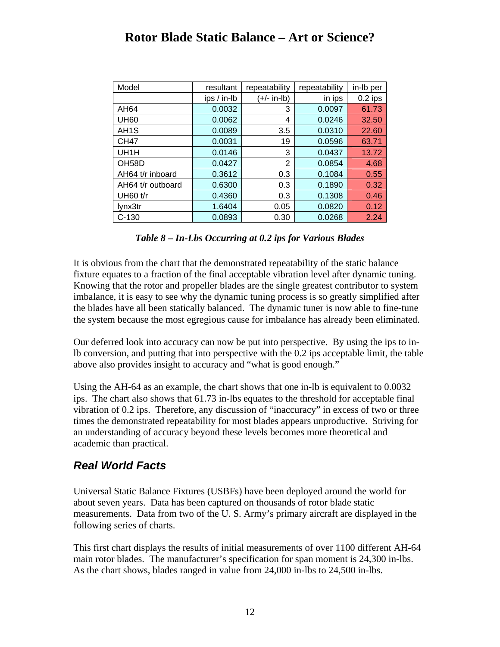| Model              | resultant   | repeatability  | repeatability | in-Ib per |
|--------------------|-------------|----------------|---------------|-----------|
|                    | ips / in-lb | (+/- in-lb)    | in ips        | $0.2$ ips |
| AH64               | 0.0032      | 3              | 0.0097        | 61.73     |
| <b>UH60</b>        | 0.0062      | 4              | 0.0246        | 32.50     |
| AH <sub>1</sub> S  | 0.0089      | 3.5            | 0.0310        | 22.60     |
| <b>CH47</b>        | 0.0031      | 19             | 0.0596        | 63.71     |
| UH1H               | 0.0146      | 3              | 0.0437        | 13.72     |
| OH <sub>58</sub> D | 0.0427      | $\overline{2}$ | 0.0854        | 4.68      |
| AH64 t/r inboard   | 0.3612      | 0.3            | 0.1084        | 0.55      |
| AH64 t/r outboard  | 0.6300      | 0.3            | 0.1890        | 0.32      |
| <b>UH60 t/r</b>    | 0.4360      | 0.3            | 0.1308        | 0.46      |
| lynx3tr            | 1.6404      | 0.05           | 0.0820        | 0.12      |
| $C-130$            | 0.0893      | 0.30           | 0.0268        | 2.24      |

#### *Table 8 – In-Lbs Occurring at 0.2 ips for Various Blades*

It is obvious from the chart that the demonstrated repeatability of the static balance fixture equates to a fraction of the final acceptable vibration level after dynamic tuning. Knowing that the rotor and propeller blades are the single greatest contributor to system imbalance, it is easy to see why the dynamic tuning process is so greatly simplified after the blades have all been statically balanced. The dynamic tuner is now able to fine-tune the system because the most egregious cause for imbalance has already been eliminated.

Our deferred look into accuracy can now be put into perspective. By using the ips to inlb conversion, and putting that into perspective with the 0.2 ips acceptable limit, the table above also provides insight to accuracy and "what is good enough."

Using the AH-64 as an example, the chart shows that one in-lb is equivalent to 0.0032 ips. The chart also shows that 61.73 in-lbs equates to the threshold for acceptable final vibration of 0.2 ips. Therefore, any discussion of "inaccuracy" in excess of two or three times the demonstrated repeatability for most blades appears unproductive. Striving for an understanding of accuracy beyond these levels becomes more theoretical and academic than practical.

### *Real World Facts*

Universal Static Balance Fixtures (USBFs) have been deployed around the world for about seven years. Data has been captured on thousands of rotor blade static measurements. Data from two of the U. S. Army's primary aircraft are displayed in the following series of charts.

This first chart displays the results of initial measurements of over 1100 different AH-64 main rotor blades. The manufacturer's specification for span moment is 24,300 in-lbs. As the chart shows, blades ranged in value from 24,000 in-lbs to 24,500 in-lbs.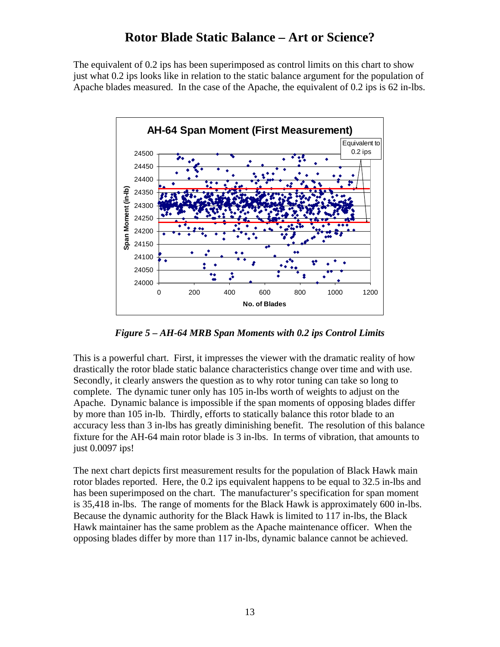The equivalent of 0.2 ips has been superimposed as control limits on this chart to show just what 0.2 ips looks like in relation to the static balance argument for the population of Apache blades measured. In the case of the Apache, the equivalent of 0.2 ips is 62 in-lbs.



*Figure 5 – AH-64 MRB Span Moments with 0.2 ips Control Limits* 

This is a powerful chart. First, it impresses the viewer with the dramatic reality of how drastically the rotor blade static balance characteristics change over time and with use. Secondly, it clearly answers the question as to why rotor tuning can take so long to complete. The dynamic tuner only has 105 in-lbs worth of weights to adjust on the Apache. Dynamic balance is impossible if the span moments of opposing blades differ by more than 105 in-lb. Thirdly, efforts to statically balance this rotor blade to an accuracy less than 3 in-lbs has greatly diminishing benefit. The resolution of this balance fixture for the AH-64 main rotor blade is 3 in-lbs. In terms of vibration, that amounts to just 0.0097 ips!

The next chart depicts first measurement results for the population of Black Hawk main rotor blades reported. Here, the 0.2 ips equivalent happens to be equal to 32.5 in-lbs and has been superimposed on the chart. The manufacturer's specification for span moment is 35,418 in-lbs. The range of moments for the Black Hawk is approximately 600 in-lbs. Because the dynamic authority for the Black Hawk is limited to 117 in-lbs, the Black Hawk maintainer has the same problem as the Apache maintenance officer. When the opposing blades differ by more than 117 in-lbs, dynamic balance cannot be achieved.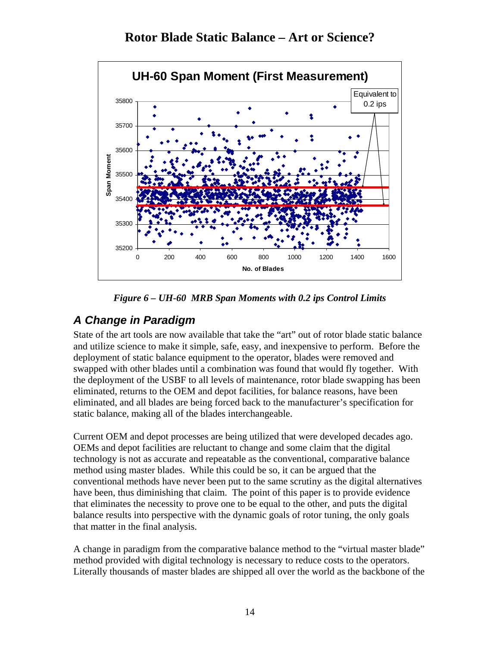



*Figure 6 – UH-60 MRB Span Moments with 0.2 ips Control Limits* 

# *A Change in Paradigm*

State of the art tools are now available that take the "art" out of rotor blade static balance and utilize science to make it simple, safe, easy, and inexpensive to perform. Before the deployment of static balance equipment to the operator, blades were removed and swapped with other blades until a combination was found that would fly together. With the deployment of the USBF to all levels of maintenance, rotor blade swapping has been eliminated, returns to the OEM and depot facilities, for balance reasons, have been eliminated, and all blades are being forced back to the manufacturer's specification for static balance, making all of the blades interchangeable.

Current OEM and depot processes are being utilized that were developed decades ago. OEMs and depot facilities are reluctant to change and some claim that the digital technology is not as accurate and repeatable as the conventional, comparative balance method using master blades. While this could be so, it can be argued that the conventional methods have never been put to the same scrutiny as the digital alternatives have been, thus diminishing that claim. The point of this paper is to provide evidence that eliminates the necessity to prove one to be equal to the other, and puts the digital balance results into perspective with the dynamic goals of rotor tuning, the only goals that matter in the final analysis.

A change in paradigm from the comparative balance method to the "virtual master blade" method provided with digital technology is necessary to reduce costs to the operators. Literally thousands of master blades are shipped all over the world as the backbone of the